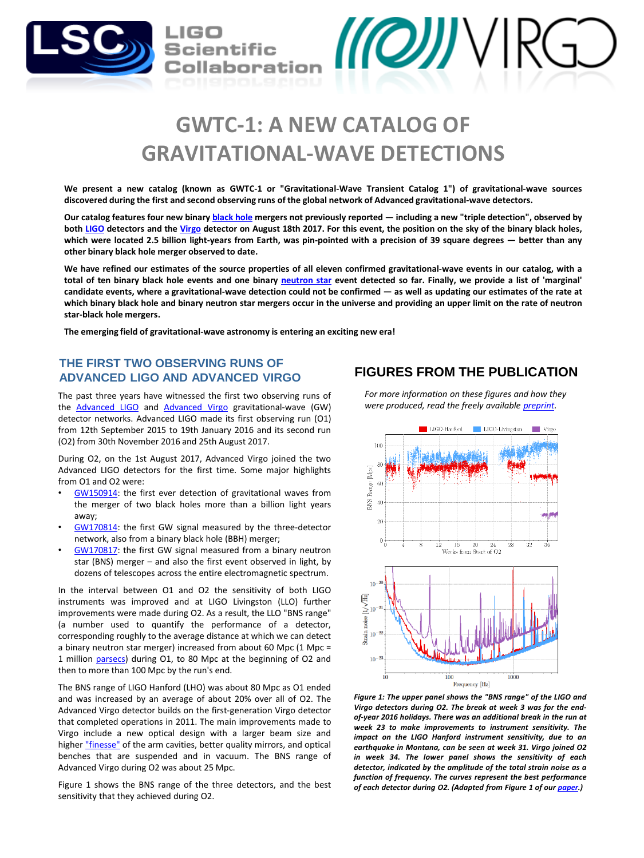

# **GWTC-1: A NEW CATALOG OF GRAVITATIONAL-WAVE DETECTIONS**

We present a new catalog (known as GWTC-1 or "Gravitational-Wave Transient Catalog 1") of gravitational-wave sources discovered during the first and second observing runs of the global network of Advanced gravitational-wave detectors.

Our catalog features four new binary [black](https://en.wikipedia.org/wiki/Black_hole) hole mergers not previously reported - including a new "triple detection", observed by both [LIGO](http://www.ligo.org/) detectors and the [Virgo](http://www.virgo-gw.eu/) detector on August 18th 2017. For this event, the position on the sky of the binary black holes, which were located 2.5 billion light-years from Earth, was pin-pointed with a precision of 39 square degrees - better than any **other binary black hole merger observed to date.**

We have refined our estimates of the source properties of all eleven confirmed gravitational-wave events in our catalog, with a total of ten binary black hole events and one binary [neutron](https://en.wikipedia.org/wiki/Neutron_star) star event detected so far. Finally, we provide a list of 'marginal' candidate events, where a gravitational-wave detection could not be confirmed - as well as updating our estimates of the rate at which binary black hole and binary neutron star mergers occur in the universe and providing an upper limit on the rate of neutron **star-black hole mergers.**

**The emerging field of gravitational-wave astronomy is entering an exciting new era!**

# **THE FIRST TWO OBSERVING RUNS OF ADVANCED LIGO AND ADVANCED VIRGO**

The past three years have witnessed the first two observing runs of the **[Advanced](https://www.lsc-group.phys.uwm.edu/webcommphp/href=) LIGO** and Advanced Virgo gravitational-wave (GW) detector networks. Advanced LIGO made its first observing run (O1) from 12th September 2015 to 19th January 2016 and its second run (O2) from 30th November 2016 and 25th August 2017.

During O2, on the 1st August 2017, Advanced Virgo joined the two Advanced LIGO detectors for the first time. Some major highlights from O1 and O2 were:

- [GW150914:](https://www.ligo.org/detections/GW150914.php) the first ever detection of gravitational waves from the merger of two black holes more than a billion light years away;
- [GW170814:](https://www.ligo.org/detections/GW170814.php) the first GW signal measured by the three-detector network, also from a binary black hole (BBH) merger;
- [GW170817:](https://www.ligo.org/detections/GW170817.php) the first GW signal measured from a binary neutron star (BNS) merger – and also the first event observed in light, by dozens of telescopes across the entire electromagnetic spectrum.

In the interval between O1 and O2 the sensitivity of both LIGO instruments was improved and at LIGO Livingston (LLO) further improvements were made during O2. As a result, the LLO "BNS range" (a number used to quantify the performance of a detector, corresponding roughly to the average distance at which we can detect a binary neutron star merger) increased from about 60 Mpc  $(1 \text{ Mpc} =$ 1 million [parsecs](https://en.wikipedia.org/wiki/Parsec)) during O1, to 80 Mpc at the beginning of O2 and then to more than 100 Mpc by the run's end.

The BNS range of LIGO Hanford (LHO) was about 80 Mpc as O1 ended and was increased by an average of about 20% over all of O2. The Advanced Virgo detector builds on the first-generation Virgo detector that completed operations in 2011. The main improvements made to Virgo include a new optical design with a larger beam size and higher ["finesse"](https://en.wikipedia.org/wiki/Fabry%E2%80%93P%C3%A9rot_interferometer#6._Scanning_the_Fabry-P%C3%A9rot_resonator:_Airy_linewidth_and_finesse) of the arm cavities, better quality mirrors, and optical benches that are suspended and in vacuum. The BNS range of Advanced Virgo during O2 was about 25 Mpc.

Figure 1 shows the BNS range of the three detectors, and the best sensitivity that they achieved during O2.

# **FIGURES FROM THE PUBLICATION**

*For more information on these figures and how they were produced, read the freely available [preprint.](https://dcc.ligo.org/public/0156/P1800307/005/o2catalog.pdf)*



*Figure 1: The upper panel shows the "BNS range" of the LIGO and Virgo detectors during O2. The break at week 3 was for the endof-year 2016 holidays. There was an additional break in the run at week 23 to make improvements to instrument sensitivity. The impact on the LIGO Hanford instrument sensitivity, due to an earthquake in Montana, can be seen at week 31. Virgo joined O2 in week 34. The lower panel shows the sensitivity of each detector, indicated by the amplitude of the total strain noise as a function of frequency. The curves represent the best performance of each detector during O2. (Adapted from Figure 1 of our [paper.](https://dcc.ligo.org/public/0156/P1800307/005/o2catalog.pdf))*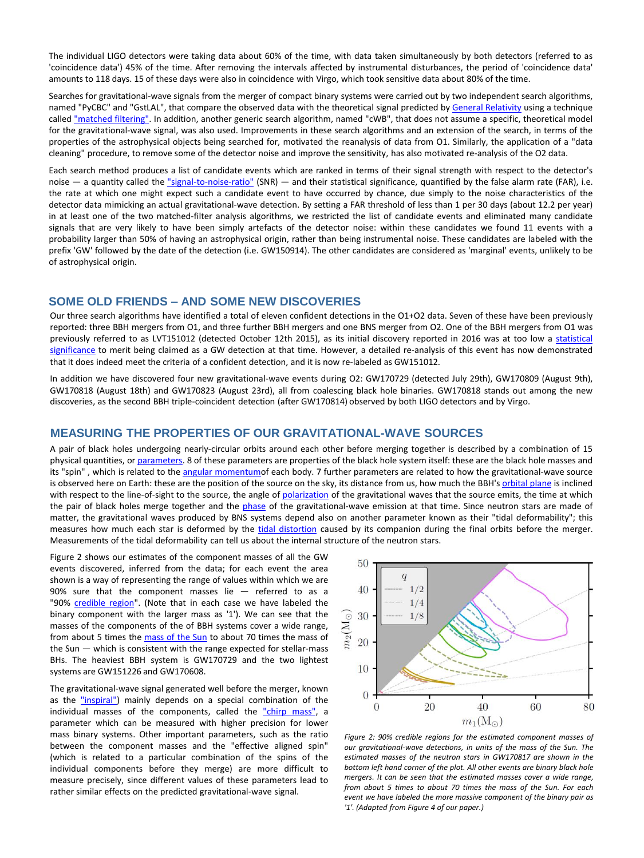The individual LIGO detectors were taking data about 60% of the time, with data taken simultaneously by both detectors (referred to as 'coincidence data') 45% of the time. After removing the intervals affected by instrumental disturbances, the period of 'coincidence data' amounts to 118 days. 15 of these days were also in coincidence with Virgo, which took sensitive data about 80% of the time.

Searches for gravitational-wave signals from the merger of compact binary systems were carried out by two independent search algorithms, named "PyCBC" and "GstLAL", that compare the observed data with the theoretical signal predicted by General [Relativity](https://en.wikipedia.org/wiki/General_relativity) using a technique called ["matched](https://en.wikipedia.org/wiki/Matched_filter) filtering". In addition, another generic search algorithm, named "cWB", that does not assume a specific, theoretical model for the gravitational-wave signal, was also used. Improvements in these search algorithms and an extension of the search, in terms of the properties of the astrophysical objects being searched for, motivated the reanalysis of data from O1. Similarly, the application of a "data cleaning" procedure, to remove some of the detector noise and improve the sensitivity, has also motivated re-analysis of the O2 data.

Each search method produces a list of candidate events which are ranked in terms of their signal strength with respect to the detector's noise  $-$  a quantity called the ["signal-to-noise-ratio"](https://en.wikipedia.org/wiki/Signal-to-noise_ratio) (SNR)  $-$  and their statistical significance, quantified by the false alarm rate (FAR), i.e. the rate at which one might expect such a candidate event to have occurred by chance, due simply to the noise characteristics of the detector data mimicking an actual gravitational-wave detection. By setting a FAR threshold of less than 1 per 30 days (about 12.2 per year) in at least one of the two matched-filter analysis algorithms, we restricted the list of candidate events and eliminated many candidate signals that are very likely to have been simply artefacts of the detector noise: within these candidates we found 11 events with a probability larger than 50% of having an astrophysical origin, rather than being instrumental noise. These candidates are labeled with the prefix 'GW' followed by the date of the detection (i.e. GW150914). The other candidates are considered as 'marginal' events, unlikely to be of astrophysical origin.

#### **SOME OLD FRIENDS – AND SOME NEW DISCOVERIES**

Our three search algorithms have identified a total of eleven confident detections in the O1+O2 data. Seven of these have been previously reported: three BBH mergers from O1, and three further BBH mergers and one BNS merger from O2. One of the BBH mergers from O1 was previously referred to as LVT151012 (detected October 12th 2015), as its initial discovery reported in 2016 was at too low a statistical significance to merit being claimed as a GW detection at that time. However, a detailed re-analysis of this event has now [demonstrated](https://en.wikipedia.org/wiki/Statistical_significance) that it does indeed meet the criteria of a confident detection, and it is now re-labeled as GW151012.

In addition we have discovered four new gravitational-wave events during O2: GW170729 (detected July 29th), GW170809 (August 9th), GW170818 (August 18th) and GW170823 (August 23rd), all from coalescing black hole binaries. GW170818 stands out among the new discoveries, as the second BBH triple-coincident detection (after GW170814) observed by both LIGO detectors and by Virgo.

#### **MEASURING THE PROPERTIES OF OUR GRAVITATIONAL-WAVE SOURCES**

A pair of black holes undergoing nearly-circular orbits around each other before merging together is described by a combination of 15 physical quantities, or [parameters](https://en.wikipedia.org/wiki/Parameter). 8 of these parameters are properties of the black hole system itself: these are the black hole masses and its "spin", which is related to the angular [momentumo](https://en.wikipedia.org/wiki/Angular_momentum)f each body. 7 further parameters are related to how the gravitational-wave source is observed here on Earth: these are the position of the source on the sky, its distance from us, how much the BBH's [orbital](https://en.wikipedia.org/wiki/Orbital_plane_(astronomy)) plane is inclined with respect to the line-of-sight to the source, the angle of [polarization](https://en.wikipedia.org/wiki/Polarization_(waves)) of the gravitational waves that the source emits, the time at which the pair of black holes merge together and the [phase](https://en.wikipedia.org/wiki/Phase_(waves)) of the gravitational-wave emission at that time. Since neutron stars are made of matter, the gravitational waves produced by BNS systems depend also on another parameter known as their "tidal deformability"; this measures how much each star is deformed by the tidal [distortion](https://en.wikipedia.org/wiki/Tidal_force) caused by its companion during the final orbits before the merger. Measurements of the tidal deformability can tell us about the internal structure of the neutron stars.

Figure 2 shows our estimates of the component masses of all the GW events discovered, inferred from the data; for each event the area shown is a way of representing the range of values within which we are 90% sure that the component masses lie — referred to as a "90% [credible](https://en.wikipedia.org/wiki/Credible_interval) region". (Note that in each case we have labeled the binary component with the larger mass as '1'). We can see that the masses of the components of the of BBH systems cover a wide range, from about 5 times the [mass](https://en.wikipedia.org/wiki/Solar_mass) of the Sun to about 70 times the mass of the Sun — which is consistent with the range expected for stellar-mass BHs. The heaviest BBH system is GW170729 and the two lightest systems are GW151226 and GW170608.

The gravitational-wave signal generated well before the merger, known as the ["inspiral"\)](https://en.wikipedia.org/wiki/Binary_black_hole#Inspiral) mainly depends on a special combination of the individual masses of the components, called the "chirp [mass",](https://en.wikipedia.org/wiki/Chirp_mass) a parameter which can be measured with higher precision for lower mass binary systems. Other important parameters, such as the ratio between the component masses and the "effective aligned spin" (which is related to a particular combination of the spins of the individual components before they merge) are more difficult to measure precisely, since different values of these parameters lead to rather similar effects on the predicted gravitational-wave signal.



*Figure 2: 90% credible regions for the estimated component masses of our gravitational-wave detections, in units of the mass of the Sun. The estimated masses of the neutron stars in GW170817 are shown in the bottom left hand corner of the plot. All other events are binary black hole mergers. It can be seen that the estimated masses cover a wide range, from about 5 times to about 70 times the mass of the Sun. For each event we have labeled the more massive component of the binary pair as '1'. (Adapted from Figure 4 of our paper.)*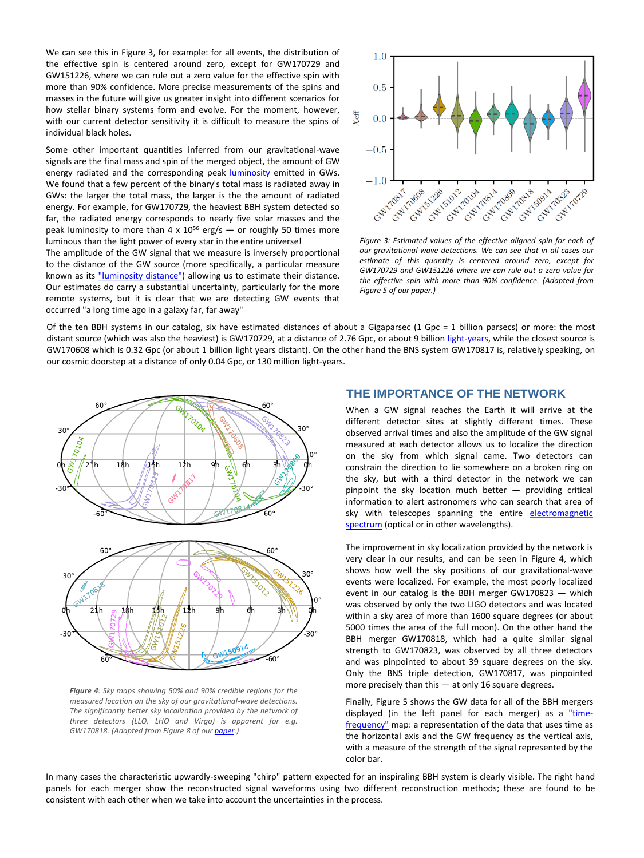We can see this in Figure 3, for example: for all events, the distribution of the effective spin is centered around zero, except for GW170729 and GW151226, where we can rule out a zero value for the effective spin with more than 90% confidence. More precise measurements of the spins and masses in the future will give us greater insight into different scenarios for how stellar binary systems form and evolve. For the moment, however, with our current detector sensitivity it is difficult to measure the spins of individual black holes.

Some other important quantities inferred from our gravitational-wave signals are the final mass and spin of the merged object, the amount of GW energy radiated and the corresponding peak **[luminosity](https://en.wikipedia.org/wiki/Luminosity)** emitted in GWs. We found that a few percent of the binary's total mass is radiated away in GWs: the larger the total mass, the larger is the the amount of radiated energy. For example, for GW170729, the heaviest BBH system detected so far, the radiated energy corresponds to nearly five solar masses and the peak luminosity to more than 4 x  $10^{56}$  erg/s  $-$  or roughly 50 times more luminous than the light power of every star in the entire universe!

The amplitude of the GW signal that we measure is inversely proportional to the distance of the GW source (more specifically, a particular measure known as its ["luminosity](https://en.wikipedia.org/wiki/Luminosity_distance) distance") allowing us to estimate their distance. Our estimates do carry a substantial uncertainty, particularly for the more remote systems, but it is clear that we are detecting GW events that occurred "a long time ago in a galaxy far, far away"



*Figure 3: Estimated values of the effective aligned spin for each of our gravitational-wave detections. We can see that in all cases our estimate of this quantity is centered around zero, except for GW170729 and GW151226 where we can rule out a zero value for the effective spin with more than 90% confidence. (Adapted from Figure 5 of our paper.)*

Of the ten BBH systems in our catalog, six have estimated distances of about a Gigaparsec (1 Gpc = 1 billion parsecs) or more: the most distant source (which was also the heaviest) is GW170729, at a distance of 2.76 Gpc, or about 9 billion [light-years,](https://en.wikipedia.org/wiki/Light-year) while the closest source is GW170608 which is 0.32 Gpc (or about 1 billion light years distant). On the other hand the BNS system GW170817 is, relatively speaking, on our cosmic doorstep at a distance of only 0.04 Gpc, or 130 million light-years.



*Figure 4: Sky maps showing 50% and 90% credible regions for the measured location on the sky of our gravitational-wave detections. The significantly better sky localization provided by the network of three detectors (LLO, LHO and Virgo) is apparent for e.g. GW170818. (Adapted from Figure 8 of our [paper.](https://dcc.ligo.org/public/0156/P1800307/005/o2catalog.pdf))*

## **THE IMPORTANCE OF THE NETWORK**

When a GW signal reaches the Earth it will arrive at the different detector sites at slightly different times. These observed arrival times and also the amplitude of the GW signal measured at each detector allows us to localize the direction on the sky from which signal came. Two detectors can constrain the direction to lie somewhere on a broken ring on the sky, but with a third detector in the network we can pinpoint the sky location much better — providing critical information to alert astronomers who can search that area of sky with telescopes spanning the entire [electromagnetic](https://en.wikipedia.org/wiki/Electromagnetic_spectrum) spectrum (optical or in other wavelengths).

The improvement in sky localization provided by the network is very clear in our results, and can be seen in Figure 4, which shows how well the sky positions of our gravitational-wave events were localized. For example, the most poorly localized event in our catalog is the BBH merger GW170823 — which was observed by only the two LIGO detectors and was located within a sky area of more than 1600 square degrees (or about 5000 times the area of the full moon). On the other hand the BBH merger GW170818, which had a quite similar signal strength to GW170823, was observed by all three detectors and was pinpointed to about 39 square degrees on the sky. Only the BNS triple detection, GW170817, was pinpointed more precisely than this — at only 16 square degrees.

Finally, Figure 5 shows the GW data for all of the BBH mergers displayed (in the left panel for each merger) as a "timefrequency" map: a [representation](https://en.wikipedia.org/wiki/Time%E2%80%93frequency_analysis) of the data that uses time as the horizontal axis and the GW frequency as the vertical axis, with a measure of the strength of the signal represented by the color bar.

In many cases the characteristic upwardly-sweeping "chirp" pattern expected for an inspiraling BBH system is clearly visible. The right hand panels for each merger show the reconstructed signal waveforms using two different reconstruction methods; these are found to be consistent with each other when we take into account the uncertainties in the process.